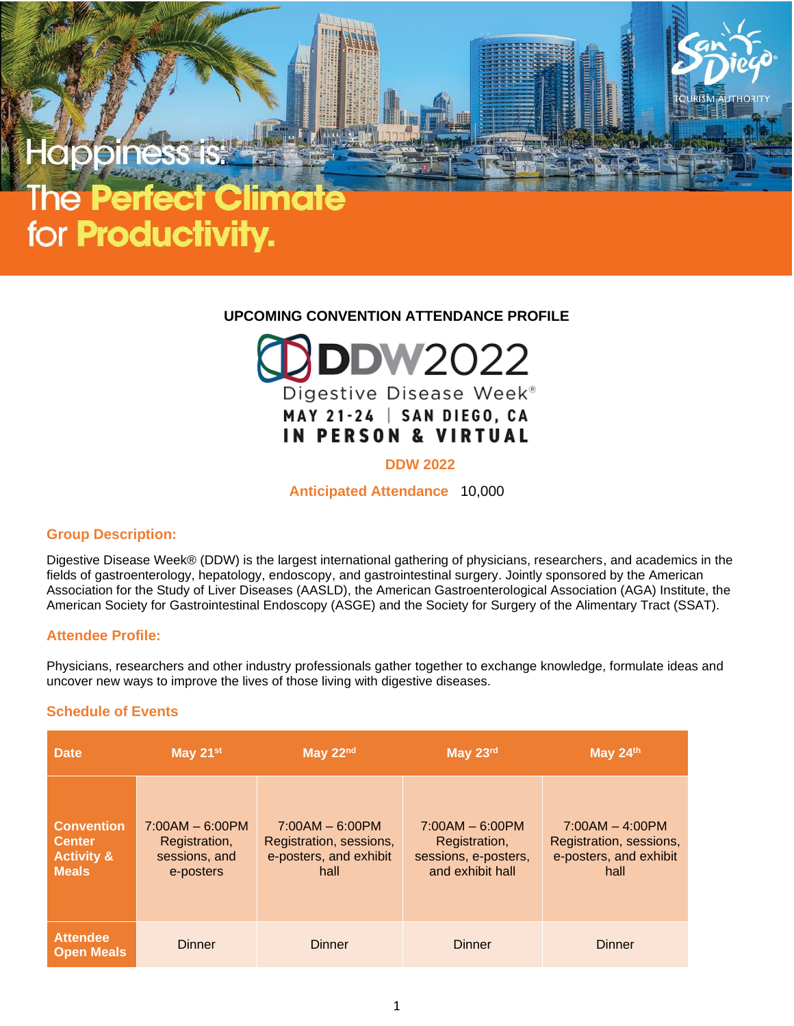# for **Productivity.**

# **UPCOMING CONVENTION ATTENDANCE PROFILE**



# **DDW 2022**

**Anticipated Attendance** 10,000

## **Group Description:**

Digestive Disease Week® (DDW) is the largest international gathering of physicians, researchers, and academics in the fields of gastroenterology, hepatology, endoscopy, and gastrointestinal surgery. Jointly sponsored by the American Association for the Study of Liver Diseases (AASLD), the American Gastroenterological Association (AGA) Institute, the American Society for Gastrointestinal Endoscopy (ASGE) and the Society for Surgery of the Alimentary Tract (SSAT).

# **Attendee Profile:**

Physicians, researchers and other industry professionals gather together to exchange knowledge, formulate ideas and uncover new ways to improve the lives of those living with digestive diseases.

# **Schedule of Events**

| <b>Date</b>                                                                 | May 21 <sup>st</sup>                                             | May 22nd                                                                       | May 23rd                                                                       | May 24th                                                                       |
|-----------------------------------------------------------------------------|------------------------------------------------------------------|--------------------------------------------------------------------------------|--------------------------------------------------------------------------------|--------------------------------------------------------------------------------|
| <b>Convention</b><br><b>Center</b><br><b>Activity &amp;</b><br><b>Meals</b> | $7:00AM - 6:00PM$<br>Registration,<br>sessions, and<br>e-posters | $7:00AM - 6:00PM$<br>Registration, sessions,<br>e-posters, and exhibit<br>hall | $7:00AM - 6:00PM$<br>Registration,<br>sessions, e-posters,<br>and exhibit hall | $7:00AM - 4:00PM$<br>Registration, sessions,<br>e-posters, and exhibit<br>hall |
| <b>Attendee</b><br><b>Open Meals</b>                                        | <b>Dinner</b>                                                    | <b>Dinner</b>                                                                  | <b>Dinner</b>                                                                  | <b>Dinner</b>                                                                  |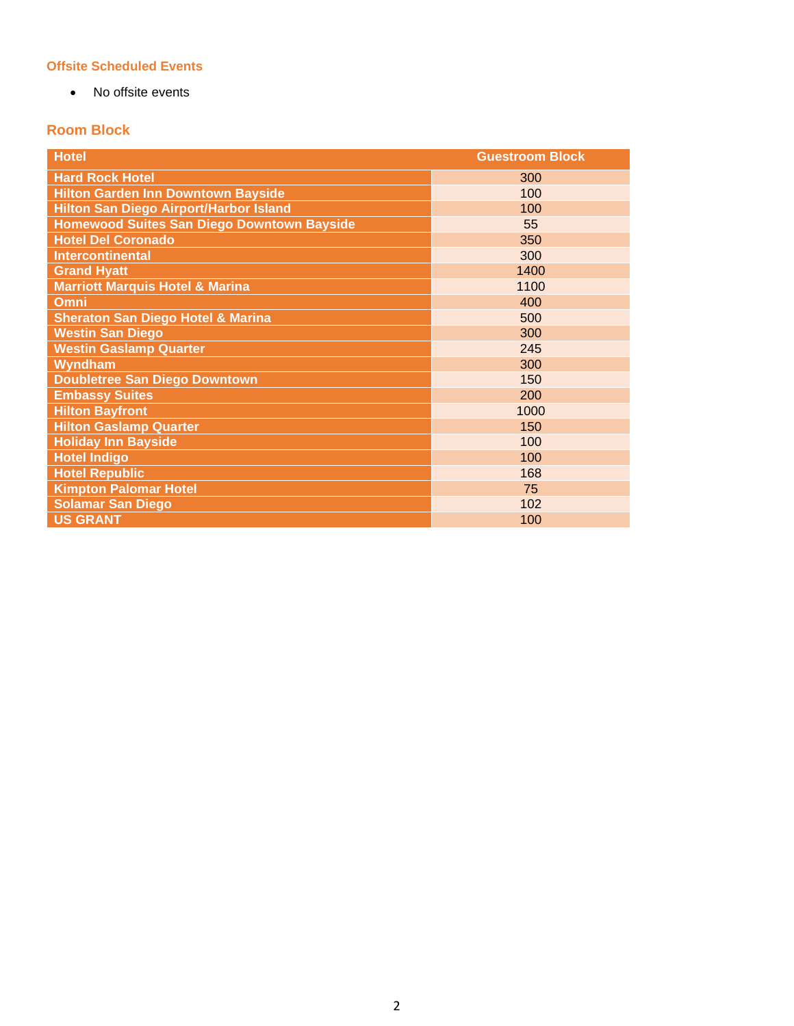# **Offsite Scheduled Events**

• No offsite events

# **Room Block**

| <b>Hotel</b>                                      | <b>Guestroom Block</b> |
|---------------------------------------------------|------------------------|
| <b>Hard Rock Hotel</b>                            | 300                    |
| <b>Hilton Garden Inn Downtown Bayside</b>         | 100                    |
| <b>Hilton San Diego Airport/Harbor Island</b>     | 100                    |
| <b>Homewood Suites San Diego Downtown Bayside</b> | 55                     |
| <b>Hotel Del Coronado</b>                         | 350                    |
| <b>Intercontinental</b>                           | 300                    |
| <b>Grand Hyatt</b>                                | 1400                   |
| <b>Marriott Marquis Hotel &amp; Marina</b>        | 1100                   |
| Omni                                              | 400                    |
| <b>Sheraton San Diego Hotel &amp; Marina</b>      | 500                    |
| <b>Westin San Diego</b>                           | 300                    |
| <b>Westin Gaslamp Quarter</b>                     | 245                    |
| Wyndham                                           | 300                    |
| <b>Doubletree San Diego Downtown</b>              | 150                    |
| <b>Embassy Suites</b>                             | 200                    |
| <b>Hilton Bayfront</b>                            | 1000                   |
| <b>Hilton Gaslamp Quarter</b>                     | 150                    |
| <b>Holiday Inn Bayside</b>                        | 100                    |
| <b>Hotel Indigo</b>                               | 100                    |
| <b>Hotel Republic</b>                             | 168                    |
| <b>Kimpton Palomar Hotel</b>                      | 75                     |
| <b>Solamar San Diego</b>                          | 102                    |
| <b>US GRANT</b>                                   | 100                    |